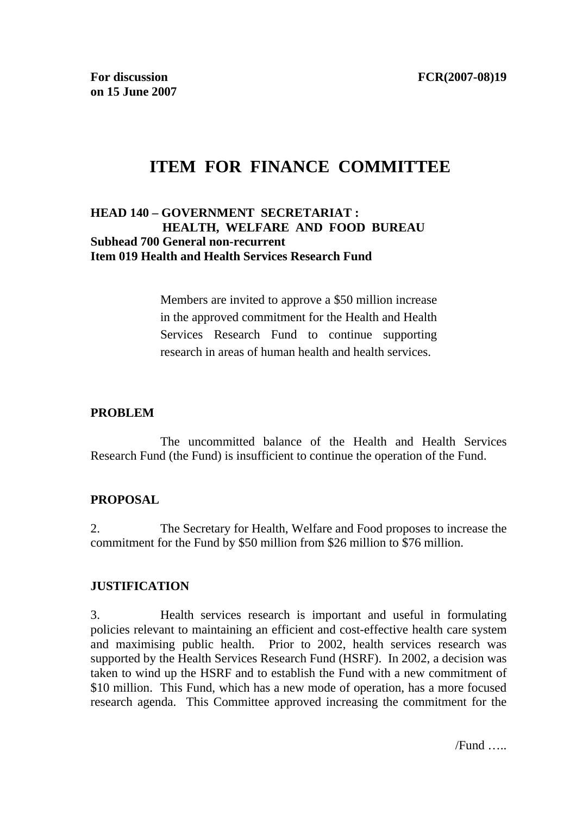# **ITEM FOR FINANCE COMMITTEE**

### **HEAD 140 – GOVERNMENT SECRETARIAT : HEALTH, WELFARE AND FOOD BUREAU Subhead 700 General non-recurrent Item 019 Health and Health Services Research Fund**

Members are invited to approve a \$50 million increase in the approved commitment for the Health and Health Services Research Fund to continue supporting research in areas of human health and health services.

### **PROBLEM**

 The uncommitted balance of the Health and Health Services Research Fund (the Fund) is insufficient to continue the operation of the Fund.

### **PROPOSAL**

2. The Secretary for Health, Welfare and Food proposes to increase the commitment for the Fund by \$50 million from \$26 million to \$76 million.

### **JUSTIFICATION**

3. Health services research is important and useful in formulating policies relevant to maintaining an efficient and cost-effective health care system and maximising public health. Prior to 2002, health services research was supported by the Health Services Research Fund (HSRF). In 2002, a decision was taken to wind up the HSRF and to establish the Fund with a new commitment of \$10 million. This Fund, which has a new mode of operation, has a more focused research agenda. This Committee approved increasing the commitment for the

/Fund …..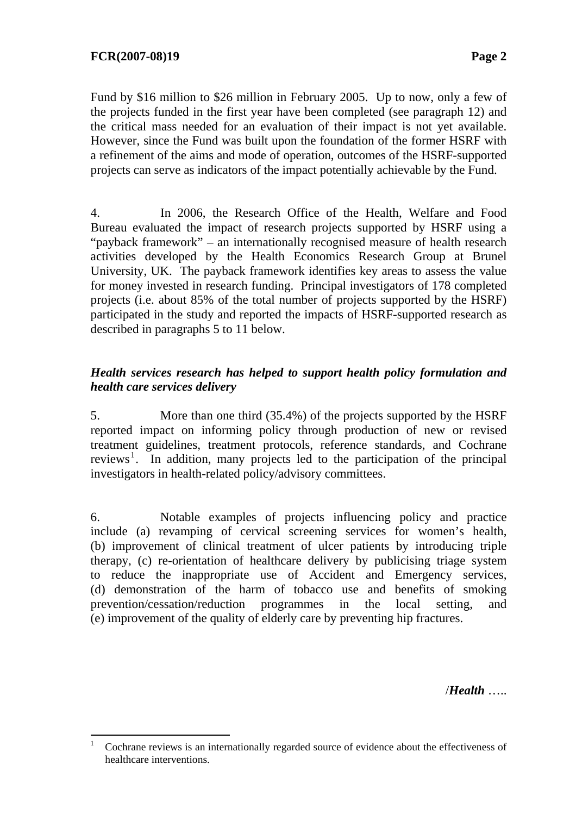Fund by \$16 million to \$26 million in February 2005. Up to now, only a few of the projects funded in the first year have been completed (see paragraph 12) and the critical mass needed for an evaluation of their impact is not yet available. However, since the Fund was built upon the foundation of the former HSRF with a refinement of the aims and mode of operation, outcomes of the HSRF-supported projects can serve as indicators of the impact potentially achievable by the Fund.

4. In 2006, the Research Office of the Health, Welfare and Food Bureau evaluated the impact of research projects supported by HSRF using a "payback framework" – an internationally recognised measure of health research activities developed by the Health Economics Research Group at Brunel University, UK. The payback framework identifies key areas to assess the value for money invested in research funding. Principal investigators of 178 completed projects (i.e. about 85% of the total number of projects supported by the HSRF) participated in the study and reported the impacts of HSRF-supported research as described in paragraphs 5 to 11 below.

### *Health services research has helped to support health policy formulation and health care services delivery*

5. More than one third (35.4%) of the projects supported by the HSRF reported impact on informing policy through production of new or revised treatment guidelines, treatment protocols, reference standards, and Cochrane reviews<sup>1</sup>. In addition, many projects led to the participation of the principal investigators in health-related policy/advisory committees.

6. Notable examples of projects influencing policy and practice include (a) revamping of cervical screening services for women's health, (b) improvement of clinical treatment of ulcer patients by introducing triple therapy, (c) re-orientation of healthcare delivery by publicising triage system to reduce the inappropriate use of Accident and Emergency services, (d) demonstration of the harm of tobacco use and benefits of smoking prevention/cessation/reduction programmes in the local setting, and (e) improvement of the quality of elderly care by preventing hip fractures.

/*Health* …..

<sup>1</sup> Cochrane reviews is an internationally regarded source of evidence about the effectiveness of healthcare interventions.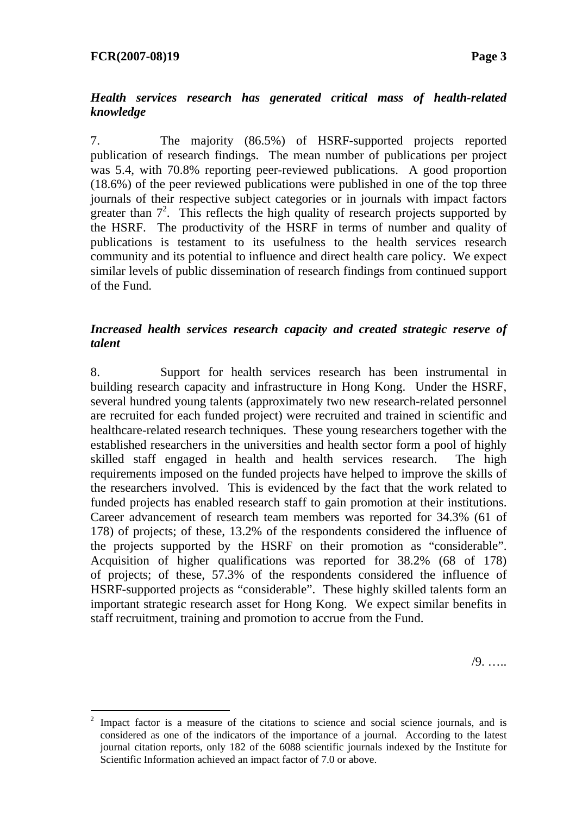$\overline{a}$ 

### *Health services research has generated critical mass of health-related knowledge*

7. The majority (86.5%) of HSRF-supported projects reported publication of research findings. The mean number of publications per project was 5.4, with 70.8% reporting peer-reviewed publications. A good proportion (18.6%) of the peer reviewed publications were published in one of the top three journals of their respective subject categories or in journals with impact factors greater than  $7^2$ . This reflects the high quality of research projects supported by the HSRF. The productivity of the HSRF in terms of number and quality of publications is testament to its usefulness to the health services research community and its potential to influence and direct health care policy. We expect similar levels of public dissemination of research findings from continued support of the Fund.

### *Increased health services research capacity and created strategic reserve of talent*

8. Support for health services research has been instrumental in building research capacity and infrastructure in Hong Kong. Under the HSRF, several hundred young talents (approximately two new research-related personnel are recruited for each funded project) were recruited and trained in scientific and healthcare-related research techniques. These young researchers together with the established researchers in the universities and health sector form a pool of highly skilled staff engaged in health and health services research. The high requirements imposed on the funded projects have helped to improve the skills of the researchers involved. This is evidenced by the fact that the work related to funded projects has enabled research staff to gain promotion at their institutions. Career advancement of research team members was reported for 34.3% (61 of 178) of projects; of these, 13.2% of the respondents considered the influence of the projects supported by the HSRF on their promotion as "considerable". Acquisition of higher qualifications was reported for 38.2% (68 of 178) of projects; of these, 57.3% of the respondents considered the influence of HSRF-supported projects as "considerable". These highly skilled talents form an important strategic research asset for Hong Kong. We expect similar benefits in staff recruitment, training and promotion to accrue from the Fund.

/9. …..

<sup>2</sup> Impact factor is a measure of the citations to science and social science journals, and is considered as one of the indicators of the importance of a journal. According to the latest journal citation reports, only 182 of the 6088 scientific journals indexed by the Institute for Scientific Information achieved an impact factor of 7.0 or above.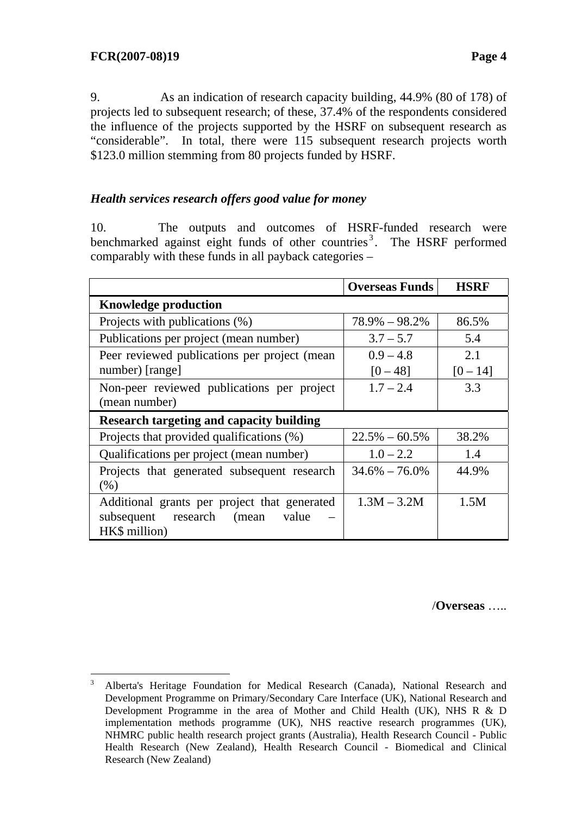9. As an indication of research capacity building, 44.9% (80 of 178) of projects led to subsequent research; of these, 37.4% of the respondents considered the influence of the projects supported by the HSRF on subsequent research as "considerable". In total, there were 115 subsequent research projects worth \$123.0 million stemming from 80 projects funded by HSRF.

# *Health services research offers good value for money*

10. The outputs and outcomes of HSRF-funded research were benchmarked against eight funds of other countries<sup>3</sup>. The HSRF performed comparably with these funds in all payback categories –

|                                                 | <b>Overseas Funds</b> | <b>HSRF</b> |  |
|-------------------------------------------------|-----------------------|-------------|--|
| <b>Knowledge production</b>                     |                       |             |  |
| Projects with publications (%)                  | $78.9\% - 98.2\%$     | 86.5%       |  |
| Publications per project (mean number)          | $3.7 - 5.7$           | 5.4         |  |
| Peer reviewed publications per project (mean    | $0.9 - 4.8$           | 2.1         |  |
| number) [range]                                 | $[0 - 48]$            | $[0 - 14]$  |  |
| Non-peer reviewed publications per project      | $1.7 - 2.4$           | 3.3         |  |
| (mean number)                                   |                       |             |  |
| <b>Research targeting and capacity building</b> |                       |             |  |
| Projects that provided qualifications (%)       | $22.5\% - 60.5\%$     | 38.2%       |  |
| Qualifications per project (mean number)        | $1.0 - 2.2$           | 1.4         |  |
| Projects that generated subsequent research     | $34.6\% - 76.0\%$     | 44.9%       |  |
| (% )                                            |                       |             |  |
| Additional grants per project that generated    | $1.3M - 3.2M$         | 1.5M        |  |
| subsequent research (mean value                 |                       |             |  |
| HK\$ million)                                   |                       |             |  |

/**Overseas** …..

 $\frac{1}{3}$  Alberta's Heritage Foundation for Medical Research (Canada), National Research and Development Programme on Primary/Secondary Care Interface (UK), National Research and Development Programme in the area of Mother and Child Health (UK), NHS R & D implementation methods programme (UK), NHS reactive research programmes (UK), NHMRC public health research project grants (Australia), Health Research Council - Public Health Research (New Zealand), Health Research Council - Biomedical and Clinical Research (New Zealand)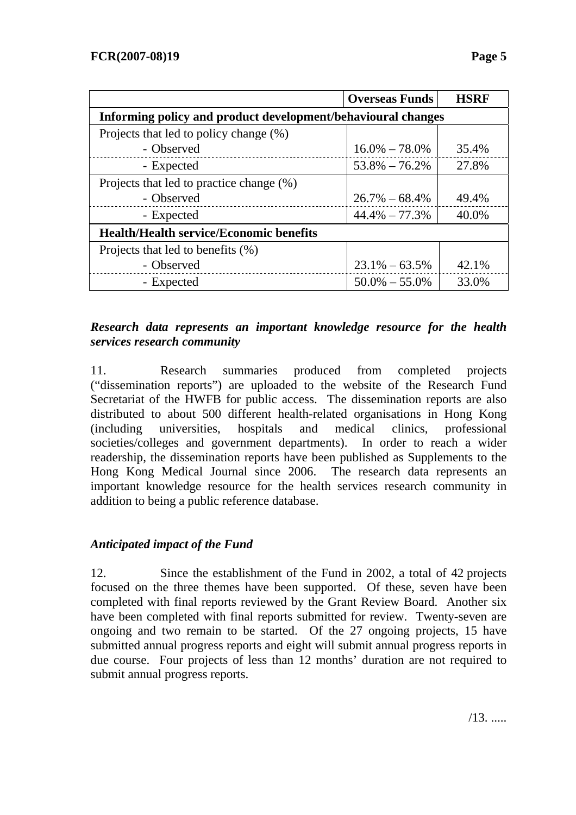|                                                              | <b>Overseas Funds</b> | <b>HSRF</b> |  |
|--------------------------------------------------------------|-----------------------|-------------|--|
| Informing policy and product development/behavioural changes |                       |             |  |
| Projects that led to policy change (%)                       |                       |             |  |
| - Observed                                                   | $16.0\% - 78.0\%$     | 35.4%       |  |
| - Expected                                                   | $53.8\% - 76.2\%$     | 27.8%       |  |
| Projects that led to practice change (%)                     |                       |             |  |
| - Observed                                                   | $26.7\% - 68.4\%$     | 49.4%       |  |
| - Expected                                                   | $44.4\% - 77.3\%$     | 40.0%       |  |
| <b>Health/Health service/Economic benefits</b>               |                       |             |  |
| Projects that led to benefits (%)                            |                       |             |  |
| - Observed                                                   | $23.1\% - 63.5\%$     | 42.1%       |  |
| - Expected                                                   | $50.0\% - 55.0\%$     | 33.0%       |  |

### *Research data represents an important knowledge resource for the health services research community*

11. Research summaries produced from completed projects ("dissemination reports") are uploaded to the website of the Research Fund Secretariat of the HWFB for public access. The dissemination reports are also distributed to about 500 different health-related organisations in Hong Kong (including universities, hospitals and medical clinics, professional societies/colleges and government departments). In order to reach a wider readership, the dissemination reports have been published as Supplements to the Hong Kong Medical Journal since 2006. The research data represents an important knowledge resource for the health services research community in addition to being a public reference database.

# *Anticipated impact of the Fund*

12. Since the establishment of the Fund in 2002, a total of 42 projects focused on the three themes have been supported. Of these, seven have been completed with final reports reviewed by the Grant Review Board. Another six have been completed with final reports submitted for review. Twenty-seven are ongoing and two remain to be started. Of the 27 ongoing projects, 15 have submitted annual progress reports and eight will submit annual progress reports in due course. Four projects of less than 12 months' duration are not required to submit annual progress reports.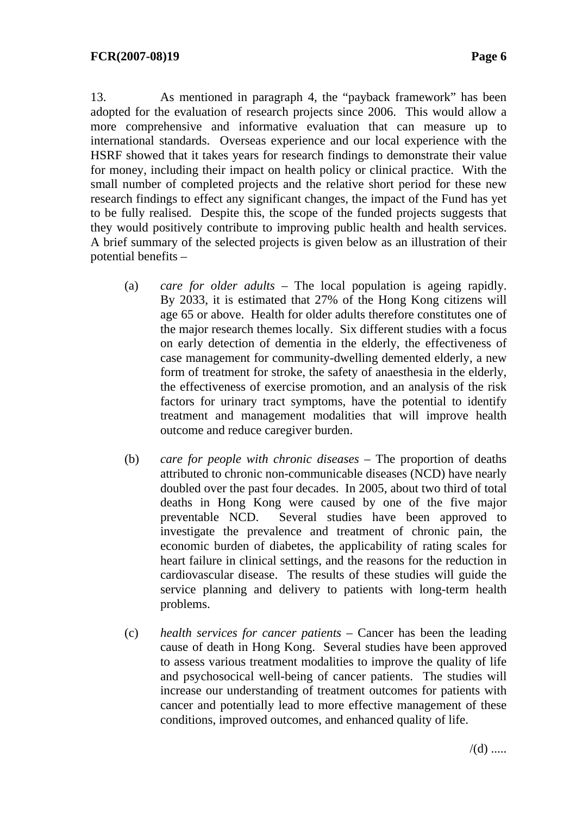13. As mentioned in paragraph 4, the "payback framework" has been adopted for the evaluation of research projects since 2006. This would allow a more comprehensive and informative evaluation that can measure up to international standards. Overseas experience and our local experience with the HSRF showed that it takes years for research findings to demonstrate their value for money, including their impact on health policy or clinical practice. With the small number of completed projects and the relative short period for these new research findings to effect any significant changes, the impact of the Fund has yet to be fully realised. Despite this, the scope of the funded projects suggests that they would positively contribute to improving public health and health services. A brief summary of the selected projects is given below as an illustration of their potential benefits –

- (a) *care for older adults* The local population is ageing rapidly. By 2033, it is estimated that 27% of the Hong Kong citizens will age 65 or above. Health for older adults therefore constitutes one of the major research themes locally. Six different studies with a focus on early detection of dementia in the elderly, the effectiveness of case management for community-dwelling demented elderly, a new form of treatment for stroke, the safety of anaesthesia in the elderly, the effectiveness of exercise promotion, and an analysis of the risk factors for urinary tract symptoms, have the potential to identify treatment and management modalities that will improve health outcome and reduce caregiver burden.
- (b) *care for people with chronic diseases* The proportion of deaths attributed to chronic non-communicable diseases (NCD) have nearly doubled over the past four decades. In 2005, about two third of total deaths in Hong Kong were caused by one of the five major preventable NCD. Several studies have been approved to investigate the prevalence and treatment of chronic pain, the economic burden of diabetes, the applicability of rating scales for heart failure in clinical settings, and the reasons for the reduction in cardiovascular disease. The results of these studies will guide the service planning and delivery to patients with long-term health problems.
- (c) *health services for cancer patients* Cancer has been the leading cause of death in Hong Kong. Several studies have been approved to assess various treatment modalities to improve the quality of life and psychosocical well-being of cancer patients. The studies will increase our understanding of treatment outcomes for patients with cancer and potentially lead to more effective management of these conditions, improved outcomes, and enhanced quality of life.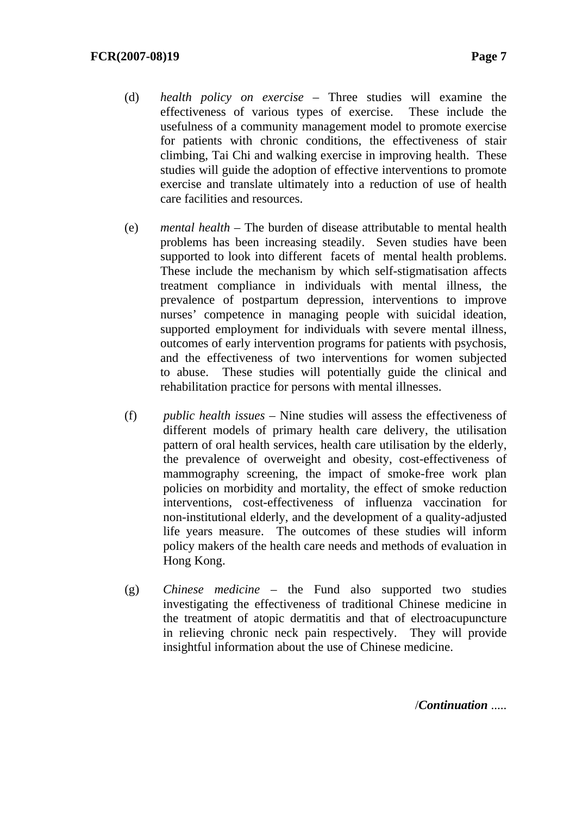- (d) *health policy on exercise* Three studies will examine the effectiveness of various types of exercise. These include the usefulness of a community management model to promote exercise for patients with chronic conditions, the effectiveness of stair climbing, Tai Chi and walking exercise in improving health. These studies will guide the adoption of effective interventions to promote exercise and translate ultimately into a reduction of use of health care facilities and resources.
- (e) *mental health* The burden of disease attributable to mental health problems has been increasing steadily. Seven studies have been supported to look into different facets of mental health problems. These include the mechanism by which self-stigmatisation affects treatment compliance in individuals with mental illness, the prevalence of postpartum depression, interventions to improve nurses' competence in managing people with suicidal ideation, supported employment for individuals with severe mental illness, outcomes of early intervention programs for patients with psychosis, and the effectiveness of two interventions for women subjected to abuse. These studies will potentially guide the clinical and rehabilitation practice for persons with mental illnesses.
- (f) *public health issues* Nine studies will assess the effectiveness of different models of primary health care delivery, the utilisation pattern of oral health services, health care utilisation by the elderly, the prevalence of overweight and obesity, cost-effectiveness of mammography screening, the impact of smoke-free work plan policies on morbidity and mortality, the effect of smoke reduction interventions, cost-effectiveness of influenza vaccination for non-institutional elderly, and the development of a quality-adjusted life years measure. The outcomes of these studies will inform policy makers of the health care needs and methods of evaluation in Hong Kong.
- (g) *Chinese medicine* the Fund also supported two studies investigating the effectiveness of traditional Chinese medicine in the treatment of atopic dermatitis and that of electroacupuncture in relieving chronic neck pain respectively. They will provide insightful information about the use of Chinese medicine.

/*Continuation* .....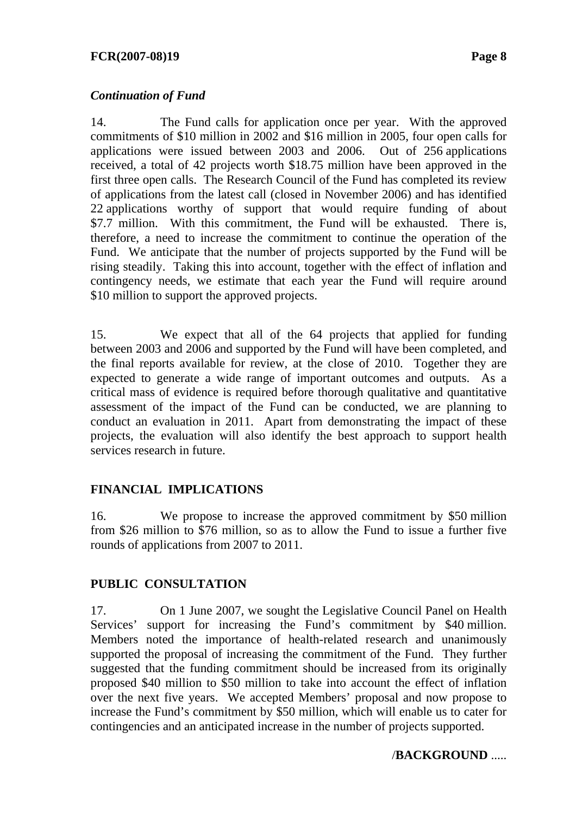### *Continuation of Fund*

14. The Fund calls for application once per year. With the approved commitments of \$10 million in 2002 and \$16 million in 2005, four open calls for applications were issued between 2003 and 2006. Out of 256 applications received, a total of 42 projects worth \$18.75 million have been approved in the first three open calls. The Research Council of the Fund has completed its review of applications from the latest call (closed in November 2006) and has identified 22 applications worthy of support that would require funding of about \$7.7 million. With this commitment, the Fund will be exhausted. There is, therefore, a need to increase the commitment to continue the operation of the Fund. We anticipate that the number of projects supported by the Fund will be rising steadily. Taking this into account, together with the effect of inflation and contingency needs, we estimate that each year the Fund will require around \$10 million to support the approved projects.

15. We expect that all of the 64 projects that applied for funding between 2003 and 2006 and supported by the Fund will have been completed, and the final reports available for review, at the close of 2010. Together they are expected to generate a wide range of important outcomes and outputs. As a critical mass of evidence is required before thorough qualitative and quantitative assessment of the impact of the Fund can be conducted, we are planning to conduct an evaluation in 2011. Apart from demonstrating the impact of these projects, the evaluation will also identify the best approach to support health services research in future.

# **FINANCIAL IMPLICATIONS**

16. We propose to increase the approved commitment by \$50 million from \$26 million to \$76 million, so as to allow the Fund to issue a further five rounds of applications from 2007 to 2011.

### **PUBLIC CONSULTATION**

17. On 1 June 2007, we sought the Legislative Council Panel on Health Services' support for increasing the Fund's commitment by \$40 million. Members noted the importance of health-related research and unanimously supported the proposal of increasing the commitment of the Fund. They further suggested that the funding commitment should be increased from its originally proposed \$40 million to \$50 million to take into account the effect of inflation over the next five years. We accepted Members' proposal and now propose to increase the Fund's commitment by \$50 million, which will enable us to cater for contingencies and an anticipated increase in the number of projects supported.

### /**BACKGROUND** .....